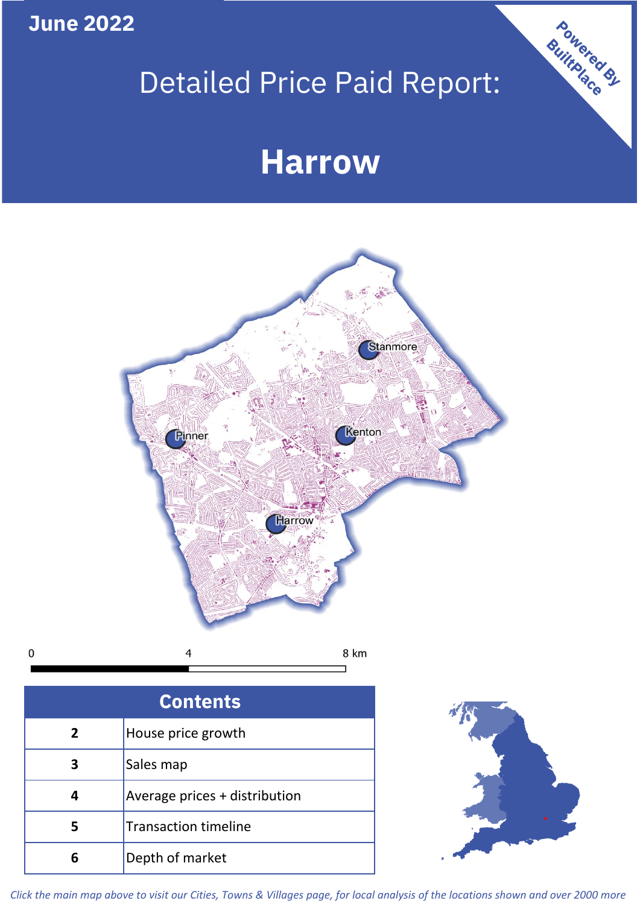**June 2022**

 $\mathbf 0$ 

# Detailed Price Paid Report:

## **Harrow**



| <b>Contents</b> |                               |  |  |
|-----------------|-------------------------------|--|--|
| $\overline{2}$  | House price growth            |  |  |
| 3               | Sales map                     |  |  |
|                 | Average prices + distribution |  |  |
|                 | <b>Transaction timeline</b>   |  |  |
|                 | Depth of market               |  |  |



Powered By

*Click the main map above to visit our Cities, Towns & Villages page, for local analysis of the locations shown and over 2000 more*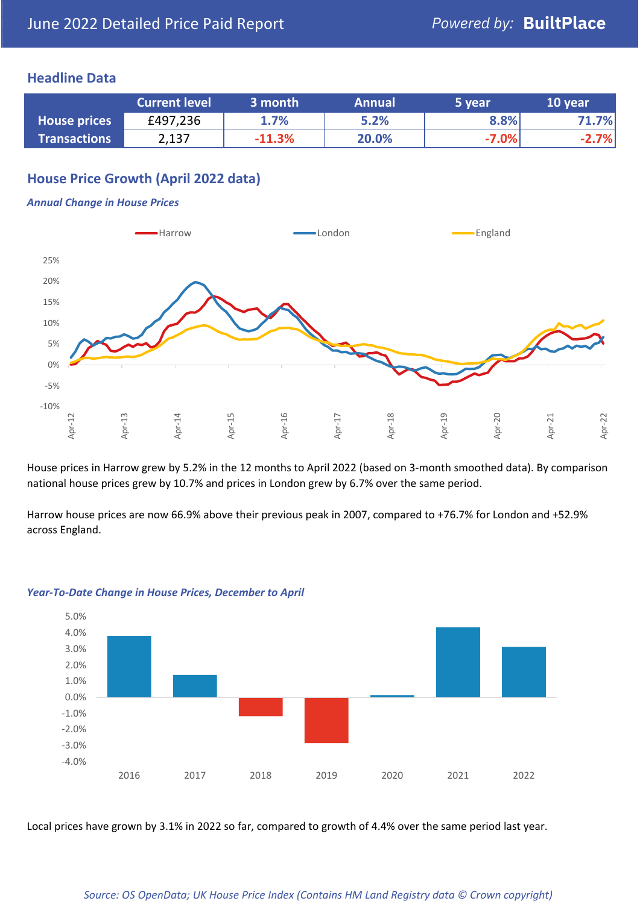#### **Headline Data**

|                     | <b>Current level</b> | 3 month  | <b>Annual</b> | 5 year  | 10 year |
|---------------------|----------------------|----------|---------------|---------|---------|
| <b>House prices</b> | £497,236             | 1.7%     | 5.2%          | 8.8%    | .7%     |
| <b>Transactions</b> | 2,137                | $-11.3%$ | 20.0%         | $-7.0%$ | .7%     |

#### **House Price Growth (April 2022 data)**

#### *Annual Change in House Prices*



House prices in Harrow grew by 5.2% in the 12 months to April 2022 (based on 3-month smoothed data). By comparison national house prices grew by 10.7% and prices in London grew by 6.7% over the same period.

Harrow house prices are now 66.9% above their previous peak in 2007, compared to +76.7% for London and +52.9% across England.



#### *Year-To-Date Change in House Prices, December to April*

Local prices have grown by 3.1% in 2022 so far, compared to growth of 4.4% over the same period last year.

#### *Source: OS OpenData; UK House Price Index (Contains HM Land Registry data © Crown copyright)*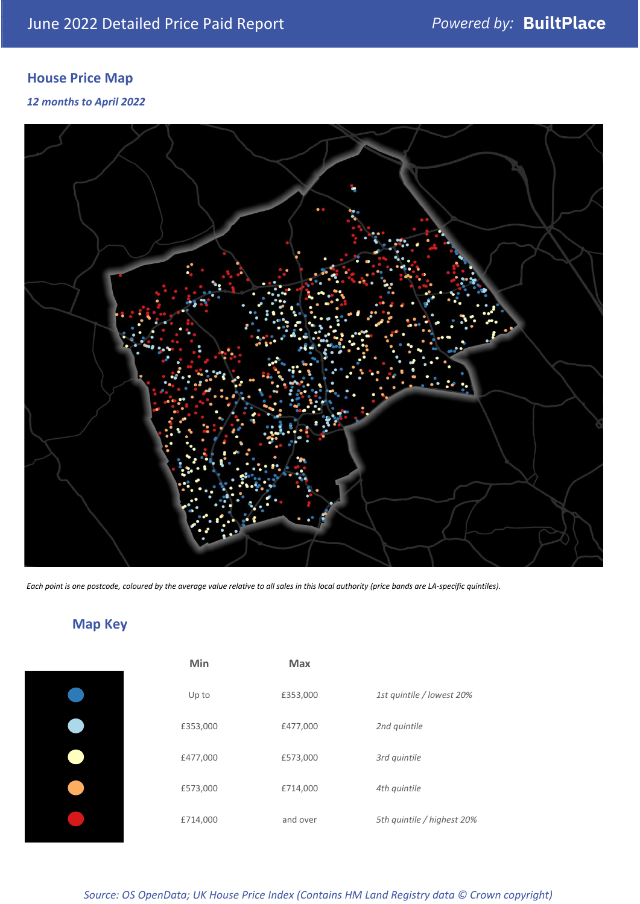### **House Price Map**

*12 months to April 2022*



*Each point is one postcode, coloured by the average value relative to all sales in this local authority (price bands are LA-specific quintiles).*

**Map Key**

| Min      | <b>Max</b> |                            |
|----------|------------|----------------------------|
| Up to    | £353,000   | 1st quintile / lowest 20%  |
| £353,000 | £477,000   | 2nd quintile               |
| £477,000 | £573,000   | 3rd quintile               |
| £573,000 | £714,000   | 4th quintile               |
| £714,000 | and over   | 5th quintile / highest 20% |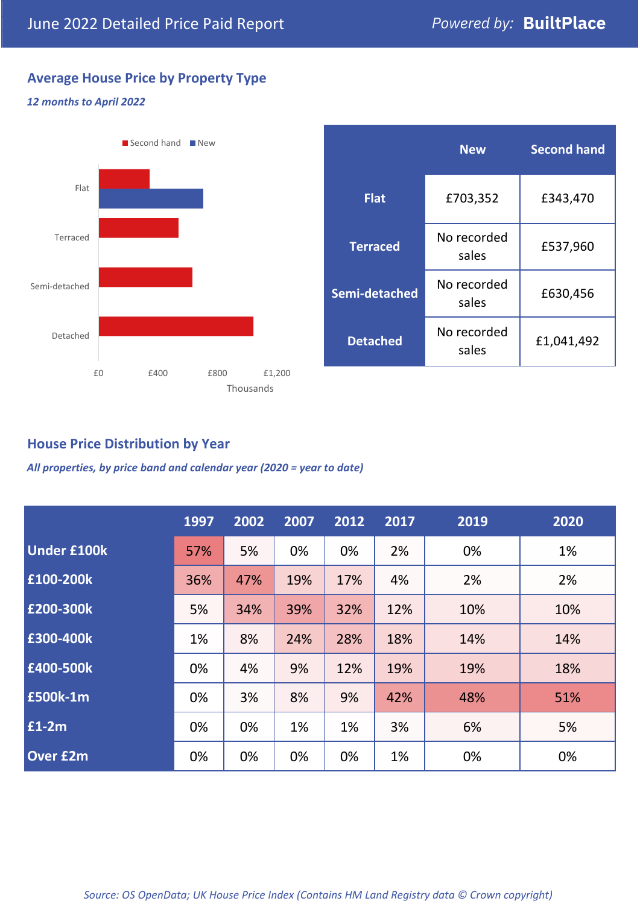### **Average House Price by Property Type**

#### *12 months to April 2022*



|                 | <b>New</b>           | <b>Second hand</b> |  |
|-----------------|----------------------|--------------------|--|
| <b>Flat</b>     | £703,352             | £343,470           |  |
| <b>Terraced</b> | No recorded<br>sales | £537,960           |  |
| Semi-detached   | No recorded<br>sales | £630,456           |  |
| <b>Detached</b> | No recorded<br>sales | £1,041,492         |  |

#### **House Price Distribution by Year**

*All properties, by price band and calendar year (2020 = year to date)*

|                    | 1997 | 2002 | 2007 | 2012 | 2017 | 2019 | 2020 |
|--------------------|------|------|------|------|------|------|------|
| <b>Under £100k</b> | 57%  | 5%   | 0%   | 0%   | 2%   | 0%   | 1%   |
| £100-200k          | 36%  | 47%  | 19%  | 17%  | 4%   | 2%   | 2%   |
| E200-300k          | 5%   | 34%  | 39%  | 32%  | 12%  | 10%  | 10%  |
| £300-400k          | 1%   | 8%   | 24%  | 28%  | 18%  | 14%  | 14%  |
| £400-500k          | 0%   | 4%   | 9%   | 12%  | 19%  | 19%  | 18%  |
| <b>£500k-1m</b>    | 0%   | 3%   | 8%   | 9%   | 42%  | 48%  | 51%  |
| £1-2m              | 0%   | 0%   | 1%   | 1%   | 3%   | 6%   | 5%   |
| <b>Over £2m</b>    | 0%   | 0%   | 0%   | 0%   | 1%   | 0%   | 0%   |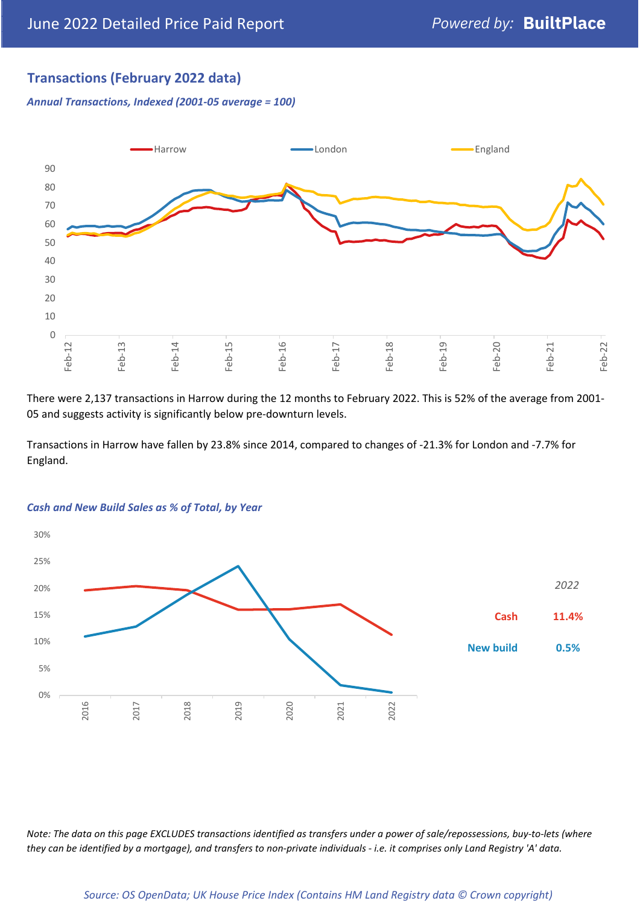#### **Transactions (February 2022 data)**

*Annual Transactions, Indexed (2001-05 average = 100)*



There were 2,137 transactions in Harrow during the 12 months to February 2022. This is 52% of the average from 2001- 05 and suggests activity is significantly below pre-downturn levels.

Transactions in Harrow have fallen by 23.8% since 2014, compared to changes of -21.3% for London and -7.7% for England.



#### *Cash and New Build Sales as % of Total, by Year*

*Note: The data on this page EXCLUDES transactions identified as transfers under a power of sale/repossessions, buy-to-lets (where they can be identified by a mortgage), and transfers to non-private individuals - i.e. it comprises only Land Registry 'A' data.*